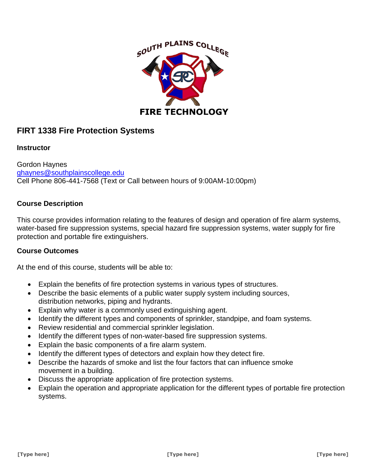

# **FIRT 1338 Fire Protection Systems**

## **Instructor**

Gordon Haynes [ghaynes@southplainscollege.edu](mailto:ghaynes@southplainscollege.edu) Cell Phone 806-441-7568 (Text or Call between hours of 9:00AM-10:00pm)

# **Course Description**

This course provides information relating to the features of design and operation of fire alarm systems, water-based fire suppression systems, special hazard fire suppression systems, water supply for fire protection and portable fire extinguishers.

#### **Course Outcomes**

At the end of this course, students will be able to:

- Explain the benefits of fire protection systems in various types of structures.
- Describe the basic elements of a public water supply system including sources, distribution networks, piping and hydrants.
- Explain why water is a commonly used extinguishing agent.
- Identify the different types and components of sprinkler, standpipe, and foam systems.
- Review residential and commercial sprinkler legislation.
- Identify the different types of non-water-based fire suppression systems.
- Explain the basic components of a fire alarm system.
- Identify the different types of detectors and explain how they detect fire.
- Describe the hazards of smoke and list the four factors that can influence smoke movement in a building.
- Discuss the appropriate application of fire protection systems.
- Explain the operation and appropriate application for the different types of portable fire protection systems.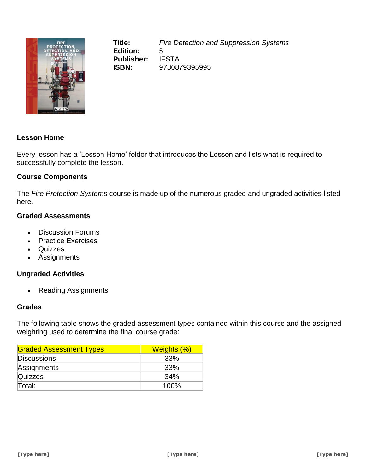

**Title:** *Fire Detection and Suppression Systems* **Edition:** 5 **Publisher:** IFSTA **ISBN:** 9780879395995

# **Lesson Home**

Every lesson has a 'Lesson Home' folder that introduces the Lesson and lists what is required to successfully complete the lesson.

## **Course Components**

The *Fire Protection Systems* course is made up of the numerous graded and ungraded activities listed here.

#### **Graded Assessments**

- Discussion Forums
- Practice Exercises
- Quizzes
- Assignments

#### **Ungraded Activities**

• Reading Assignments

## **Grades**

The following table shows the graded assessment types contained within this course and the assigned weighting used to determine the final course grade:

| <b>Graded Assessment Types</b> | Weights (%) |
|--------------------------------|-------------|
| <b>Discussions</b>             | 33%         |
| Assignments                    | 33%         |
| <b>Quizzes</b>                 | 34%         |
| Total:                         | 100%        |